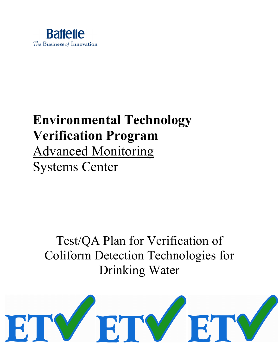

# **Environmental Technology Verification Program** Advanced Monitoring Systems Center

# Test/QA Plan for Verification of Coliform Detection Technologies for Drinking Water

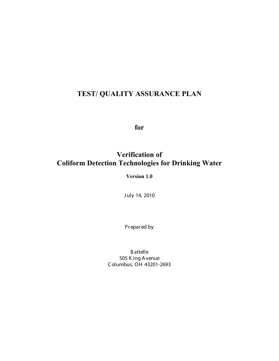## **TEST/ QUALITY ASSURANCE PLAN**

**for**

## **Verification of Coliform Detection Technologies for Drinking Water**

**Version 1.0** 

J uly 14, 2010

Pr epar ed by

**B** attelle 505 K ing A venue C olumbus, OH 43201-2693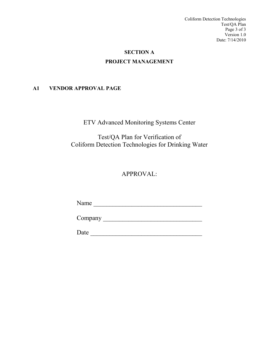Coliform Detection Technologies Test/QA Plan Page 3 of 3 Version 1.0 Date: 7/14/2010

## **SECTION A PROJECT MANAGEMENT**

## <span id="page-2-1"></span><span id="page-2-0"></span>**A1 VENDOR APPROVAL PAGE**

ETV Advanced Monitoring Systems Center

Test/QA Plan for Verification of Coliform Detection Technologies for Drinking Water

## APPROVAL:

Name \_\_\_\_\_\_\_\_\_\_\_\_\_\_\_\_\_\_\_\_\_\_\_\_\_\_\_\_\_\_\_\_\_\_

Company \_\_\_\_\_\_\_\_\_\_\_\_\_\_\_\_\_\_\_\_\_\_\_\_\_\_\_\_\_\_\_

Date \_\_\_\_\_\_\_\_\_\_\_\_\_\_\_\_\_\_\_\_\_\_\_\_\_\_\_\_\_\_\_\_\_\_\_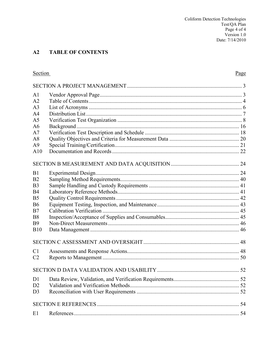#### <span id="page-3-0"></span> $A2$ **TABLE OF CONTENTS**

| <b>Section</b> | Page |
|----------------|------|
|                |      |
| A <sub>1</sub> |      |
| A2             |      |
| A <sub>3</sub> |      |
| A <sub>4</sub> |      |
| A <sub>5</sub> |      |
| A6             |      |
| A7             |      |
| A8             |      |
| A <sup>9</sup> |      |
| A10            |      |
|                |      |
| B1             |      |
| B <sub>2</sub> |      |
| B <sub>3</sub> |      |
| <b>B4</b>      |      |
| B <sub>5</sub> |      |
| <b>B6</b>      |      |
| B7             |      |
| <b>B8</b>      |      |
| <b>B</b> 9     |      |
| <b>B10</b>     |      |
|                |      |
| C1             |      |
| C <sub>2</sub> |      |
|                |      |
| D <sub>1</sub> |      |
| D2             |      |
| D <sub>3</sub> |      |
|                |      |
| E1             |      |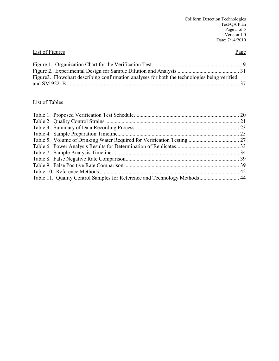## **List of Figures** Page

| Figure 3. Flowchart describing confirmation analyses for both the technologies being verified |  |
|-----------------------------------------------------------------------------------------------|--|
|                                                                                               |  |

## List of Tables

| Table 11. Quality Control Samples for Reference and Technology Methods 44 |  |
|---------------------------------------------------------------------------|--|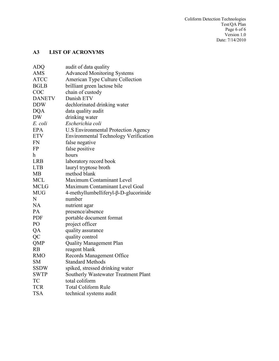## <span id="page-5-0"></span>**A3 LIST OF ACRONYMS**

| <b>ADQ</b>    | audit of data quality                      |  |  |  |  |
|---------------|--------------------------------------------|--|--|--|--|
| <b>AMS</b>    | <b>Advanced Monitoring Systems</b>         |  |  |  |  |
| <b>ATCC</b>   | American Type Culture Collection           |  |  |  |  |
| <b>BGLB</b>   | brilliant green lactose bile               |  |  |  |  |
| COC           | chain of custody                           |  |  |  |  |
| <b>DANETV</b> | Danish ETV                                 |  |  |  |  |
| <b>DDW</b>    | dechlorinated drinking water               |  |  |  |  |
| <b>DQA</b>    | data quality audit                         |  |  |  |  |
| <b>DW</b>     | drinking water                             |  |  |  |  |
| E. coli       | Escherichia coli                           |  |  |  |  |
| <b>EPA</b>    | <b>U.S Environmental Protection Agency</b> |  |  |  |  |
| <b>ETV</b>    | Environmental Technology Verification      |  |  |  |  |
| <b>FN</b>     | false negative                             |  |  |  |  |
| <b>FP</b>     | false positive                             |  |  |  |  |
| h             | hours                                      |  |  |  |  |
| <b>LRB</b>    | laboratory record book                     |  |  |  |  |
| <b>LTB</b>    | lauryl tryptose broth                      |  |  |  |  |
| <b>MB</b>     | method blank                               |  |  |  |  |
| <b>MCL</b>    | Maximum Contaminant Level                  |  |  |  |  |
| <b>MCLG</b>   | Maximum Contaminant Level Goal             |  |  |  |  |
| <b>MUG</b>    | 4-methyllumbelliferyl-β-D-glucorinide      |  |  |  |  |
| N             | number                                     |  |  |  |  |
| <b>NA</b>     | nutrient agar                              |  |  |  |  |
| PA            | presence/absence                           |  |  |  |  |
| <b>PDF</b>    | portable document format                   |  |  |  |  |
| PO            | project officer                            |  |  |  |  |
| QA            | quality assurance                          |  |  |  |  |
| QC            | quality control                            |  |  |  |  |
| <b>QMP</b>    | <b>Quality Management Plan</b>             |  |  |  |  |
| RB            | reagent blank                              |  |  |  |  |
| <b>RMO</b>    | Records Management Office                  |  |  |  |  |
| <b>SM</b>     | <b>Standard Methods</b>                    |  |  |  |  |
| <b>SSDW</b>   | spiked, stressed drinking water            |  |  |  |  |
| <b>SWTP</b>   | Southerly Wastewater Treatment Plant       |  |  |  |  |
| TC            | total coliform                             |  |  |  |  |
| <b>TCR</b>    | <b>Total Coliform Rule</b>                 |  |  |  |  |
| <b>TSA</b>    | technical systems audit                    |  |  |  |  |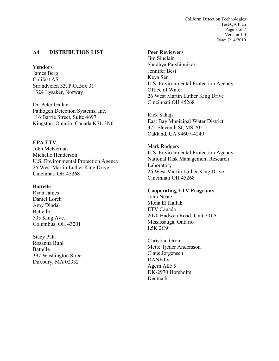Coliform Detection Technologies Test/QA Plan Page 7 of 7 Version 1.0 Date: 7/14/2010

## <span id="page-6-0"></span>**A4 DISTRIBUTION LIST**

## **Vendors**

James Berg Colifast AS Strandveien 33, P.O.Box 31 1324 Lysaker, Norway

Dr. Peter Gallant Pathogen Detection Systems, Inc. 116 Barrie Street, Suite 4697 Kingston, Ontario, Canada K7L 3N6

## **EPA ETV**

John McKernan Michelle Henderson U.S. Environmental Protection Agency 26 West Martin Luther King Drive Cincinnati OH 45268

#### **Battelle**

Ryan James Daniel Lorch Amy Dindal Battelle 505 King Ave. Columbus, OH 43201

Stacy Pala Rosanna Buhl Battelle 397 Washington Street Duxbury, MA 02332

## **Peer Reviewers**

Jim Sinclair Sandhya Parshionikar Jennifer Best Keya Sen U.S. Environmental Protection Agency Office of Water 26 West Martin Luther King Drive Cincinnati OH 45268

Rick Sakaji East Bay Municipal Water District 375 Eleventh St, MS 705 Oakland, CA 94607-4240

Mark Rodgers U.S. Environmental Protection Agency National Risk Management Research Laboratory 26 West Martin Luther King Drive Cincinnati OH 45268

## **Cooperating ETV Programs**

John Neate Mona El Hallak ETV Canada 2070 Hadwen Road, Unit 201A Mississauga, Ontario L5K 2C9

Christian Gron Mette Tjener Andersson Claus Jørgensen DANETV Agern Allé 5 DK-2970 Hørsholm Denmark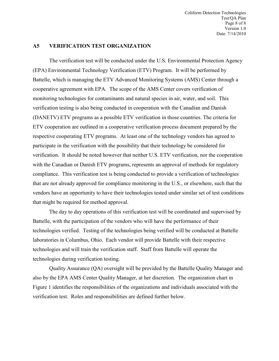Coliform Detection Technologies Test/QA Plan Page 8 of 8 Version 1.0 Date: 7/14/2010

#### <span id="page-7-0"></span>**A5 VERIFICATION TEST ORGANIZATION**

The verification test will be conducted under the U.S. Environmental Protection Agency (EPA) Environmental Technology Verification (ETV) Program. It will be performed by Battelle, which is managing the ETV Advanced Monitoring Systems (AMS) Center through a cooperative agreement with EPA. The scope of the AMS Center covers verification of monitoring technologies for contaminants and natural species in air, water, and soil. This verification testing is also being conducted in cooperation with the Canadian and Danish (DANETV) ETV programs as a possible ETV verification in those countries. The criteria for ETV cooperation are outlined in a cooperative verification process document prepared by the respective cooperating ETV programs. At least one of the technology vendors has agreed to participate in the verification with the possibility that their technology be considered for verification. It should be noted however that neither U.S. ETV verification, nor the cooperation with the Canadian or Danish ETV programs, represents an approval of methods for regulatory compliance. This verification test is being conducted to provide a verification of technologies that are not already approved for compliance monitoring in the U.S., or elsewhere, such that the vendors have an opportunity to have their technologies tested under similar set of test conditions that might be required for method approval.

The day to day operations of this verification test will be coordinated and supervised by Battelle, with the participation of the vendors who will have the performance of their technologies verified. Testing of the technologies being verified will be conducted at Battelle laboratories in Columbus, Ohio. Each vendor will provide Battelle with their respective technologies and will train the verification staff. Staff from Battelle will operate the technologies during verification testing.

Quality Assurance (QA) oversight will be provided by the Battelle Quality Manager and also by the EPA AMS Center Quality Manager, at her discretion. The organization chart in Figure 1 identifies the responsibilities of the organizations and individuals associated with the verification test. Roles and responsibilities are defined further below.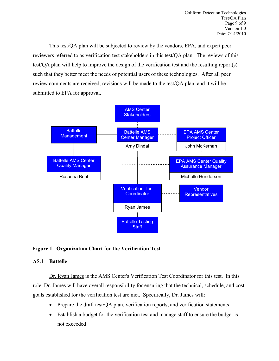This test/QA plan will be subjected to review by the vendors, EPA, and expert peer reviewers referred to as verification test stakeholders in this test/QA plan. The reviews of this test/QA plan will help to improve the design of the verification test and the resulting report(s) such that they better meet the needs of potential users of these technologies. After all peer review comments are received, revisions will be made to the test/QA plan, and it will be submitted to EPA for approval.



## <span id="page-8-0"></span>**Figure 1. Organization Chart for the Verification Test**

## **A5.1 Battelle**

Dr. Ryan James is the AMS Center's Verification Test Coordinator for this test. In this role, Dr. James will have overall responsibility for ensuring that the technical, schedule, and cost goals established for the verification test are met. Specifically, Dr. James will:

- Prepare the draft test/QA plan, verification reports, and verification statements
- Establish a budget for the verification test and manage staff to ensure the budget is not exceeded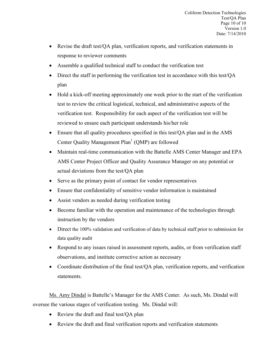- Revise the draft test/QA plan, verification reports, and verification statements in response to reviewer comments
- Assemble a qualified technical staff to conduct the verification test
- Direct the staff in performing the verification test in accordance with this test/QA plan
- Hold a kick-off meeting approximately one week prior to the start of the verification test to review the critical logistical, technical, and administrative aspects of the verification test. Responsibility for each aspect of the verification test will be reviewed to ensure each participant understands his/her role
- Ensure that all quality procedures specified in this test/QA plan and in the AMS Center Quality Management  $Plan<sup>1</sup> (QMP)$  are followed
- Maintain real-time communication with the Battelle AMS Center Manager and EPA AMS Center Project Officer and Quality Assurance Manager on any potential or actual deviations from the test/QA plan
- Serve as the primary point of contact for vendor representatives
- Ensure that confidentiality of sensitive vendor information is maintained
- Assist vendors as needed during verification testing
- Become familiar with the operation and maintenance of the technologies through instruction by the vendors
- Direct the 100% validation and verification of data by technical staff prior to submission for data quality audit
- Respond to any issues raised in assessment reports, audits, or from verification staff observations, and institute corrective action as necessary
- Coordinate distribution of the final test/QA plan, verification reports, and verification statements.

Ms. Amy Dindal is Battelle's Manager for the AMS Center. As such, Ms. Dindal will oversee the various stages of verification testing. Ms. Dindal will:

- Review the draft and final test/QA plan
- Review the draft and final verification reports and verification statements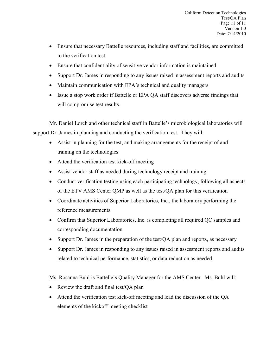- Ensure that necessary Battelle resources, including staff and facilities, are committed to the verification test
- Ensure that confidentiality of sensitive vendor information is maintained
- Support Dr. James in responding to any issues raised in assessment reports and audits
- Maintain communication with EPA's technical and quality managers
- Issue a stop work order if Battelle or EPA QA staff discovers adverse findings that will compromise test results.

Mr. Daniel Lorch and other technical staff in Battelle's microbiological laboratories will support Dr. James in planning and conducting the verification test. They will:

- Assist in planning for the test, and making arrangements for the receipt of and training on the technologies
- Attend the verification test kick-off meeting
- Assist vendor staff as needed during technology receipt and training
- Conduct verification testing using each participating technology, following all aspects of the ETV AMS Center QMP as well as the test/QA plan for this verification
- Coordinate activities of Superior Laboratories, Inc., the laboratory performing the reference measurements
- Confirm that Superior Laboratories, Inc. is completing all required QC samples and corresponding documentation
- Support Dr. James in the preparation of the test/QA plan and reports, as necessary
- Support Dr. James in responding to any issues raised in assessment reports and audits related to technical performance, statistics, or data reduction as needed.

Ms. Rosanna Buhl is Battelle's Quality Manager for the AMS Center. Ms. Buhl will:

- Review the draft and final test/QA plan
- Attend the verification test kick-off meeting and lead the discussion of the QA elements of the kickoff meeting checklist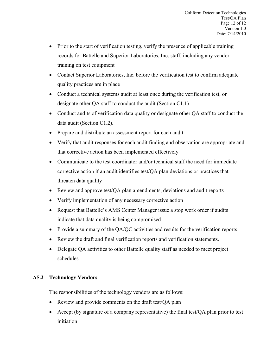- Prior to the start of verification testing, verify the presence of applicable training records for Battelle and Superior Laboratories, Inc. staff, including any vendor training on test equipment
- Contact Superior Laboratories, Inc. before the verification test to confirm adequate quality practices are in place
- Conduct a technical systems audit at least once during the verification test, or designate other QA staff to conduct the audit (Section C1.1)
- Conduct audits of verification data quality or designate other QA staff to conduct the data audit (Section C1.2).
- Prepare and distribute an assessment report for each audit
- Verify that audit responses for each audit finding and observation are appropriate and that corrective action has been implemented effectively
- Communicate to the test coordinator and/or technical staff the need for immediate corrective action if an audit identifies test/QA plan deviations or practices that threaten data quality
- Review and approve test/QA plan amendments, deviations and audit reports
- Verify implementation of any necessary corrective action
- Request that Battelle's AMS Center Manager issue a stop work order if audits indicate that data quality is being compromised
- Provide a summary of the QA/QC activities and results for the verification reports
- Review the draft and final verification reports and verification statements.
- Delegate QA activities to other Battelle quality staff as needed to meet project schedules

## **A5.2 Technology Vendors**

The responsibilities of the technology vendors are as follows:

- Review and provide comments on the draft test/QA plan
- Accept (by signature of a company representative) the final test/OA plan prior to test initiation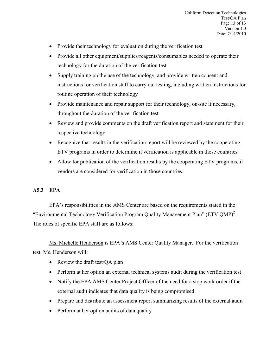Coliform Detection Technologies Test/QA Plan Page 13 of 13 Version 1.0 Date: 7/14/2010

- Provide their technology for evaluation during the verification test
- Provide all other equipment/supplies/reagents/consumables needed to operate their technology for the duration of the verification test
- Supply training on the use of the technology, and provide written consent and instructions for verification staff to carry out testing, including written instructions for routine operation of their technology
- Provide maintenance and repair support for their technology, on-site if necessary, throughout the duration of the verification test
- Review and provide comments on the draft verification report and statement for their respective technology
- Recognize that results in the verification report will be reviewed by the cooperating ETV programs in order to determine if verification is applicable in those countries
- Allow for publication of the verification results by the cooperating ETV programs, if vendors are considered for verification in those countries.

## **A5.3 EPA**

EPA's responsibilities in the AMS Center are based on the requirements stated in the "Environmental Technology Verification Program Quality Management Plan" (ETV QMP)<sup>2</sup>. The roles of specific EPA staff are as follows:

Ms. Michelle Henderson is EPA's AMS Center Quality Manager. For the verification test, Ms. Henderson will:

- Review the draft test/QA plan
- Perform at her option an external technical systems audit during the verification test
- Notify the EPA AMS Center Project Officer of the need for a stop work order if the external audit indicates that data quality is being compromised
- Prepare and distribute an assessment report summarizing results of the external audit
- Perform at her option audits of data quality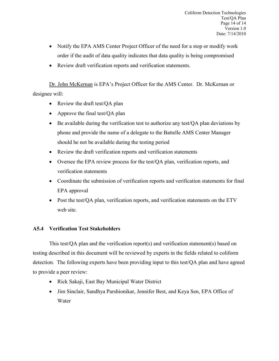- Notify the EPA AMS Center Project Officer of the need for a stop or modify work order if the audit of data quality indicates that data quality is being compromised
- Review draft verification reports and verification statements.

Dr. John McKernan is EPA's Project Officer for the AMS Center. Dr. McKernan or designee will:

- Review the draft test/OA plan
- Approve the final test/QA plan
- Be available during the verification test to authorize any test/QA plan deviations by phone and provide the name of a delegate to the Battelle AMS Center Manager should he not be available during the testing period
- Review the draft verification reports and verification statements
- Oversee the EPA review process for the test/QA plan, verification reports, and verification statements
- Coordinate the submission of verification reports and verification statements for final EPA approval
- Post the test/QA plan, verification reports, and verification statements on the ETV web site.

## **A5.4 Verification Test Stakeholders**

This test/QA plan and the verification report(s) and verification statement(s) based on testing described in this document will be reviewed by experts in the fields related to coliform detection. The following experts have been providing input to this test/QA plan and have agreed to provide a peer review:

- Rick Sakaji, East Bay Municipal Water District
- Jim Sinclair, Sandhya Parshionikar, Jennifer Best, and Keya Sen, EPA Office of Water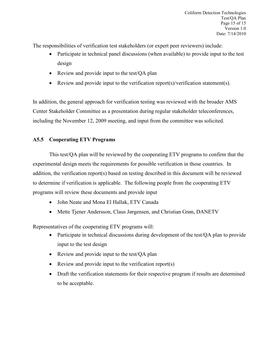The responsibilities of verification test stakeholders (or expert peer reviewers) include:

- Participate in technical panel discussions (when available) to provide input to the test design
- Review and provide input to the test/QA plan
- Review and provide input to the verification report(s)/verification statement(s).

In addition, the general approach for verification testing was reviewed with the broader AMS Center Stakeholder Committee as a presentation during regular stakeholder teleconferences, including the November 12, 2009 meeting, and input from the committee was solicited.

## **A5.5 Cooperating ETV Programs**

This test/QA plan will be reviewed by the cooperating ETV programs to confirm that the experimental design meets the requirements for possible verification in those countries. In addition, the verification report(s) based on testing described in this document will be reviewed to determine if verification is applicable. The following people from the cooperating ETV programs will review these documents and provide input

- John Neate and Mona El Hallak, ETV Canada
- Mette Tjener Andersson, Claus Jørgensen, and Christian Grøn, DANETV

Representatives of the cooperating ETV programs will:

- Participate in technical discussions during development of the test/QA plan to provide input to the test design
- Review and provide input to the test/QA plan
- Review and provide input to the verification report(s)
- Draft the verification statements for their respective program if results are determined to be acceptable.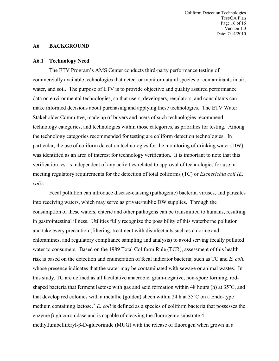Coliform Detection Technologies Test/QA Plan Page 16 of 16 Version 1.0 Date: 7/14/2010

#### <span id="page-15-0"></span>**A6 BACKGROUND**

#### **A6.1 Technology Need**

The ETV Program's AMS Center conducts third-party performance testing of commercially available technologies that detect or monitor natural species or contaminants in air, water, and soil. The purpose of ETV is to provide objective and quality assured performance data on environmental technologies, so that users, developers, regulators, and consultants can make informed decisions about purchasing and applying these technologies. The ETV Water Stakeholder Committee, made up of buyers and users of such technologies recommend technology categories, and technologies within those categories, as priorities for testing. Among the technology categories recommended for testing are coliform detection technologies. In particular, the use of coliform detection technologies for the monitoring of drinking water (DW) was identified as an area of interest for technology verification. It is important to note that this verification test is independent of any activities related to approval of technologies for use in meeting regulatory requirements for the detection of total coliforms (TC) or *Escherichia coli (E. coli)*.

Fecal pollution can introduce disease-causing (pathogenic) bacteria, viruses, and parasites into receiving waters, which may serve as private/public DW supplies. Through the consumption of these waters, enteric and other pathogens can be transmitted to humans, resulting in gastrointestinal illness. Utilities fully recognize the possibility of this waterborne pollution and take every precaution (filtering, treatment with disinfectants such as chlorine and chloramines, and regulatory compliance sampling and analysis) to avoid serving fecally polluted water to consumers. Based on the 1989 Total Coliform Rule (TCR), assessment of this health risk is based on the detection and enumeration of fecal indicator bacteria, such as TC and *E. coli,* whose presence indicates that the water may be contaminated with sewage or animal wastes. In this study, TC are defined as all facultative anaerobic, gram-negative, non-spore forming, rodshaped bacteria that ferment lactose with gas and acid formation within 48 hours (h) at 35°C, and that develop red colonies with a metallic (golden) sheen within 24 h at  $35^{\circ}$ C on a Endo-type medium containing lactose.<sup>3</sup> *E. coli* is defined as a species of coliform bacteria that possesses the enzyme β-glucuronidase and is capable of cleaving the fluorogenic substrate 4 methyllumbelliferyl-β-D-glucorinide (MUG) with the release of fluorogen when grown in a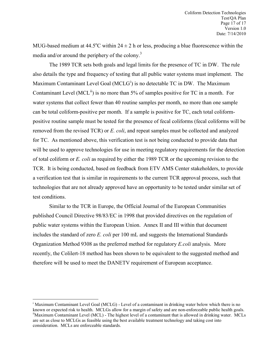MUG-based medium at  $44.5^{\circ}$ C within  $24 \pm 2$  h or less, producing a blue fluorescence within the media and/or around the periphery of the colony.<sup>3</sup>

The 1989 TCR sets both goals and legal limits for the presence of TC in DW. The rule also details the type and frequency of testing that all public water systems must implement. The Max[i](#page-16-0)mum Contaminant Level Goal (MCLG<sup>i</sup>) is no detectable TC in DW. The Maximum Contaminant Level (MCL<sup>[ii](#page-16-1)</sup>) is no more than 5% of samples positive for TC in a month. For water systems that collect fewer than 40 routine samples per month, no more than one sample can be total coliform-positive per month. If a sample is positive for TC, each total coliformpositive routine sample must be tested for the presence of fecal coliforms (fecal coliforms will be removed from the revised TCR) or *E. coli*, and repeat samples must be collected and analyzed for TC. As mentioned above, this verification test is not being conducted to provide data that will be used to approve technologies for use in meeting regulatory requirements for the detection of total coliform or *E. coli* as required by either the 1989 TCR or the upcoming revision to the TCR. It is being conducted, based on feedback from ETV AMS Center stakeholders, to provide a verification test that is similar in requirements to the current TCR approval process, such that technologies that are not already approved have an opportunity to be tested under similar set of test conditions.

 Similar to the TCR in Europe, the Official Journal of the European Communities published Council Directive 98/83/EC in 1998 that provided directives on the regulation of public water systems within the European Union. Annex II and III within that document includes the standard of zero *E. coli* per 100 mL and suggests the International Standards Organization Method 9308 as the preferred method for regulatory *E.coli* analysis. More recently, the Colilert-18 method has been shown to be equivalent to the suggested method and therefore will be used to meet the DANETV requirement of European acceptance.

 $\overline{a}$ 

<span id="page-16-1"></span><span id="page-16-0"></span><sup>&</sup>lt;sup>i</sup> Maximum Contaminant Level Goal (MCLG) - Level of a contaminant in drinking water below which there is no known or expected risk to health. MCLGs allow for a margin of safety and are non-enforceable public health goals. iiMaximum Contaminant Level (MCL) - The highest level of a contaminant that is allowed in drinking water. MC are set as close to MCLGs as feasible using the best available treatment technology and taking cost into consideration. MCLs are enforceable standards.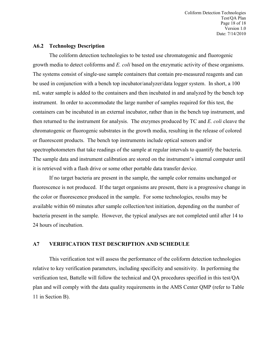Coliform Detection Technologies Test/QA Plan Page 18 of 18 Version 1.0 Date: 7/14/2010

#### **A6.2 Technology Description**

The coliform detection technologies to be tested use chromatogenic and fluorogenic growth media to detect coliforms and *E. coli* based on the enzymatic activity of these organisms. The systems consist of single-use sample containers that contain pre-measured reagents and can be used in conjunction with a bench top incubator/analyzer/data logger system. In short, a 100 mL water sample is added to the containers and then incubated in and analyzed by the bench top instrument. In order to accommodate the large number of samples required for this test, the containers can be incubated in an external incubator, rather than in the bench top instrument, and then returned to the instrument for analysis. The enzymes produced by TC and *E. coli* cleave the chromatogenic or fluorogenic substrates in the growth media, resulting in the release of colored or fluorescent products. The bench top instruments include optical sensors and/or spectrophotometers that take readings of the sample at regular intervals to quantify the bacteria. The sample data and instrument calibration are stored on the instrument's internal computer until it is retrieved with a flash drive or some other portable data transfer device.

If no target bacteria are present in the sample, the sample color remains unchanged or fluorescence is not produced. If the target organisms are present, there is a progressive change in the color or fluorescence produced in the sample. For some technologies, results may be available within 60 minutes after sample collection/test initiation, depending on the number of bacteria present in the sample. However, the typical analyses are not completed until after 14 to 24 hours of incubation.

## <span id="page-17-0"></span>**A7 VERIFICATION TEST DESCRIPTION AND SCHEDULE**

This verification test will assess the performance of the coliform detection technologies relative to key verification parameters, including specificity and sensitivity. In performing the verification test, Battelle will follow the technical and QA procedures specified in this test/QA plan and will comply with the data quality requirements in the AMS Center QMP (refer to Table 11 in Section B).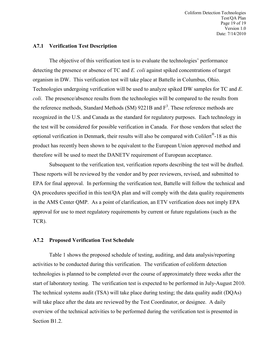Coliform Detection Technologies Test/QA Plan Page 19 of 19 Version 1.0 Date: 7/14/2010

#### **A7.1 Verification Test Description**

The objective of this verification test is to evaluate the technologies' performance detecting the presence or absence of TC and *E. coli* against spiked concentrations of target organism in DW. This verification test will take place at Battelle in Columbus, Ohio. Technologies undergoing verification will be used to analyze spiked DW samples for TC and *E. coli*. The presence/absence results from the technologies will be compared to the results from the reference methods, Standard Methods (SM) 9221B and  $F<sup>3</sup>$ . These reference methods are recognized in the U.S. and Canada as the standard for regulatory purposes. Each technology in the test will be considered for possible verification in Canada. For those vendors that select the optional verification in Denmark, their results will also be compared with Colilert®-18 as this product has recently been shown to be equivalent to the European Union approved method and therefore will be used to meet the DANETV requirement of European acceptance.

 Subsequent to the verification test, verification reports describing the test will be drafted. These reports will be reviewed by the vendor and by peer reviewers, revised, and submitted to EPA for final approval. In performing the verification test, Battelle will follow the technical and QA procedures specified in this test/QA plan and will comply with the data quality requirements in the AMS Center QMP. As a point of clarification, an ETV verification does not imply EPA approval for use to meet regulatory requirements by current or future regulations (such as the TCR).

#### **A7.2 Proposed Verification Test Schedule**

Table 1 shows the proposed schedule of testing, auditing, and data analysis/reporting activities to be conducted during this verification. The verification of coliform detection technologies is planned to be completed over the course of approximately three weeks after the start of laboratory testing. The verification test is expected to be performed in July-August 2010. The technical systems audit (TSA) will take place during testing; the data quality audit (DQAs) will take place after the data are reviewed by the Test Coordinator, or designee. A daily overview of the technical activities to be performed during the verification test is presented in Section B1.2.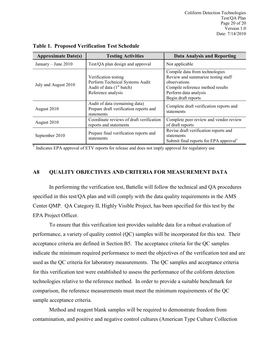Coliform Detection Technologies Test/QA Plan Page 20 of 20 Version 1.0 Date: 7/14/2010

| <b>Approximate Date(s)</b> | <b>Testing Activities</b>                                                                                    | <b>Data Analysis and Reporting</b>                                                                                                                                       |
|----------------------------|--------------------------------------------------------------------------------------------------------------|--------------------------------------------------------------------------------------------------------------------------------------------------------------------------|
| January – June $2010$      | Test/QA plan design and approval                                                                             | Not applicable                                                                                                                                                           |
| July and August 2010       | Verification testing<br>Perform Technical Systems Audit<br>Audit of data $(1st batch)$<br>Reference analysis | Compile data from technologies<br>Review and summarize testing staff<br>observations<br>Compile reference method results<br>Perform data analysis<br>Begin draft reports |
| August 2010                | Audit of data (remaining data)<br>Prepare draft verification reports and<br>statements                       | Complete draft verification reports and<br>statements                                                                                                                    |
| August 2010                | Coordinate reviews of draft verification<br>reports and statements                                           | Complete peer review and vendor review<br>of draft reports                                                                                                               |
| September 2010             | Prepare final verification reports and<br>statements                                                         | Revise draft verification reports and<br>statements<br>Submit final reports for EPA approval                                                                             |

<span id="page-19-1"></span>**Table 1. Proposed Verification Test Schedule** 

<sup>1</sup> Indicates EPA approval of ETV reports for release and does not imply approval for regulatory use

## <span id="page-19-0"></span>**A8 QUALITY OBJECTIVES AND CRITERIA FOR MEASUREMENT DATA**

In performing the verification test, Battelle will follow the technical and QA procedures specified in this test/QA plan and will comply with the data quality requirements in the AMS Center QMP. QA Category II, Highly Visible Project, has been specified for this test by the EPA Project Officer.

To ensure that this verification test provides suitable data for a robust evaluation of performance, a variety of quality control (QC) samples will be incorporated for this test. Their acceptance criteria are defined in Section B5. The acceptance criteria for the QC samples indicate the minimum required performance to meet the objectives of the verification test and are used as the QC criteria for laboratory measurements. The QC samples and acceptance criteria for this verification test were established to assess the performance of the coliform detection technologies relative to the reference method. In order to provide a suitable benchmark for comparison, the reference measurements must meet the minimum requirements of the QC sample acceptance criteria.

Method and reagent blank samples will be required to demonstrate freedom from contamination, and positive and negative control cultures (American Type Culture Collection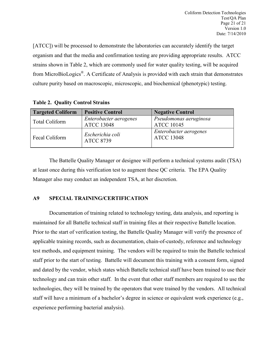[ATCC]) will be processed to demonstrate the laboratories can accurately identify the target organism and that the media and confirmation testing are providing appropriate results. ATCC strains shown in Table 2, which are commonly used for water quality testing, will be acquired from MicroBioLogics®. A Certificate of Analysis is provided with each strain that demonstrates culture purity based on macroscopic, microscopic, and biochemical (phenotypic) testing.

## <span id="page-20-1"></span>**Table 2. Quality Control Strains**

| <b>Targeted Coliform</b> | <b>Positive Control</b>                     | <b>Negative Control</b>                     |  |
|--------------------------|---------------------------------------------|---------------------------------------------|--|
| Total Coliform           | Enterobacter aerogenes<br><b>ATCC 13048</b> | Pseudomonas aeruginosa<br><b>ATCC 10145</b> |  |
| Fecal Coliform           | Escherichia coli<br><b>ATCC 8739</b>        | Enterobacter aerogenes<br><b>ATCC 13048</b> |  |

The Battelle Quality Manager or designee will perform a technical systems audit (TSA) at least once during this verification test to augment these QC criteria. The EPA Quality Manager also may conduct an independent TSA, at her discretion.

## <span id="page-20-0"></span>**A9 SPECIAL TRAINING/CERTIFICATION**

Documentation of training related to technology testing, data analysis, and reporting is maintained for all Battelle technical staff in training files at their respective Battelle location. Prior to the start of verification testing, the Battelle Quality Manager will verify the presence of applicable training records, such as documentation, chain-of-custody, reference and technology test methods, and equipment training. The vendors will be required to train the Battelle technical staff prior to the start of testing. Battelle will document this training with a consent form, signed and dated by the vendor, which states which Battelle technical staff have been trained to use their technology and can train other staff. In the event that other staff members are required to use the technologies, they will be trained by the operators that were trained by the vendors. All technical staff will have a minimum of a bachelor's degree in science or equivalent work experience (e.g., experience performing bacterial analysis).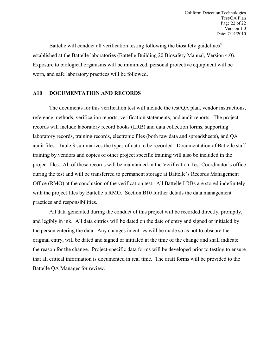Battelle will conduct all verification testing following the biosafety guidelines<sup>4</sup> established at the Battelle laboratories (Battelle Building 20 Biosafety Manual, Version 4.0). Exposure to biological organisms will be minimized, personal protective equipment will be worn, and safe laboratory practices will be followed.

## <span id="page-21-0"></span>**A10 DOCUMENTATION AND RECORDS**

The documents for this verification test will include the test/QA plan, vendor instructions, reference methods, verification reports, verification statements, and audit reports. The project records will include laboratory record books (LRB) and data collection forms, supporting laboratory records, training records, electronic files (both raw data and spreadsheets), and QA audit files. Table 3 summarizes the types of data to be recorded. Documentation of Battelle staff training by vendors and copies of other project specific training will also be included in the project files. All of these records will be maintained in the Verification Test Coordinator's office during the test and will be transferred to permanent storage at Battelle's Records Management Office (RMO) at the conclusion of the verification test. All Battelle LRBs are stored indefinitely with the project files by Battelle's RMO. Section B10 further details the data management practices and responsibilities.

All data generated during the conduct of this project will be recorded directly, promptly, and legibly in ink. All data entries will be dated on the date of entry and signed or initialed by the person entering the data. Any changes in entries will be made so as not to obscure the original entry, will be dated and signed or initialed at the time of the change and shall indicate the reason for the change. Project-specific data forms will be developed prior to testing to ensure that all critical information is documented in real time. The draft forms will be provided to the Battelle QA Manager for review.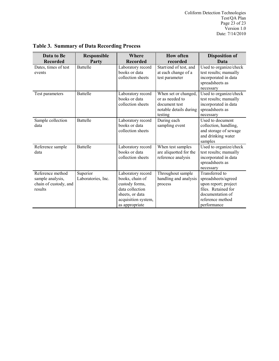Coliform Detection Technologies Test/QA Plan Page 23 of 23 Version 1.0 Date: 7/14/2010

| Data to Be                                                               | <b>Responsible</b>             | Where                                                                                                                                 | <b>How often</b>                                                                              | <b>Disposition of</b>                                                                                                                       |
|--------------------------------------------------------------------------|--------------------------------|---------------------------------------------------------------------------------------------------------------------------------------|-----------------------------------------------------------------------------------------------|---------------------------------------------------------------------------------------------------------------------------------------------|
| <b>Recorded</b>                                                          | Party                          | <b>Recorded</b>                                                                                                                       | recorded                                                                                      | Data                                                                                                                                        |
| Dates, times of test<br>events                                           | <b>Battelle</b>                | Laboratory record<br>books or data<br>collection sheets                                                                               | Start/end of test, and<br>at each change of a<br>test parameter                               | Used to organize/check<br>test results; manually<br>incorporated in data<br>spreadsheets as<br>necessary                                    |
| Test parameters                                                          | <b>Battelle</b>                | Laboratory record<br>books or data<br>collection sheets                                                                               | When set or changed,<br>or as needed to<br>document test<br>notable details during<br>testing | Used to organize/check<br>test results; manually<br>incorporated in data<br>spreadsheets as<br>necessary                                    |
| Sample collection<br>data                                                | <b>Battelle</b>                | Laboratory record<br>books or data<br>collection sheets                                                                               | During each<br>sampling event                                                                 | Used to document<br>collection, handling,<br>and storage of sewage<br>and drinking water<br>samples                                         |
| Reference sample<br>data                                                 | <b>Battelle</b>                | Laboratory record<br>books or data<br>collection sheets                                                                               | When test samples<br>are aliquotted for the<br>reference analysis                             | Used to organize/check<br>test results; manually<br>incorporated in data<br>spreadsheets as<br>necessary                                    |
| Reference method<br>sample analysis,<br>chain of custody, and<br>results | Superior<br>Laboratories, Inc. | Laboratory record<br>books, chain of<br>custody forms,<br>data collection<br>sheets, or data<br>acquisition system,<br>as appropriate | Throughout sample<br>handling and analysis<br>process                                         | Transferred to<br>spreadsheets/agreed<br>upon report; project<br>files. Retained for<br>documentation of<br>reference method<br>performance |

<span id="page-22-0"></span>**Table 3. Summary of Data Recording Process**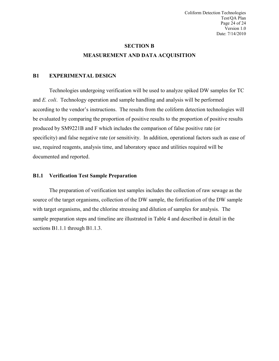## **SECTION B MEASUREMENT AND DATA ACQUISITION**

## <span id="page-23-1"></span><span id="page-23-0"></span>**B1 EXPERIMENTAL DESIGN**

Technologies undergoing verification will be used to analyze spiked DW samples for TC and *E. coli*. Technology operation and sample handling and analysis will be performed according to the vendor's instructions. The results from the coliform detection technologies will be evaluated by comparing the proportion of positive results to the proportion of positive results produced by SM9221B and F which includes the comparison of false positive rate (or specificity) and false negative rate (or sensitivity. In addition, operational factors such as ease of use, required reagents, analysis time, and laboratory space and utilities required will be documented and reported.

## **B1.1 Verification Test Sample Preparation**

The preparation of verification test samples includes the collection of raw sewage as the source of the target organisms, collection of the DW sample, the fortification of the DW sample with target organisms, and the chlorine stressing and dilution of samples for analysis. The sample preparation steps and timeline are illustrated in Table 4 and described in detail in the sections B1.1.1 through B1.1.3.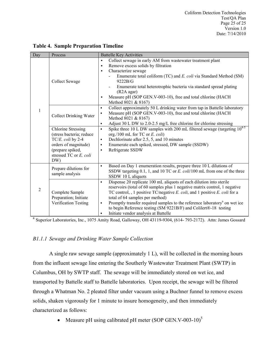| Day            | Process                                                                                                                                                 | <b>Battelle Key Activities</b>                                                                                                                                                                                                                                                                                                                                                                                                                                                                                  |
|----------------|---------------------------------------------------------------------------------------------------------------------------------------------------------|-----------------------------------------------------------------------------------------------------------------------------------------------------------------------------------------------------------------------------------------------------------------------------------------------------------------------------------------------------------------------------------------------------------------------------------------------------------------------------------------------------------------|
|                | Collect Sewage                                                                                                                                          | Collect sewage in early AM from wastewater treatment plant<br>$\bullet$<br>Remove excess solids by filtration<br>$\bullet$<br>Characterize sewage<br>$\bullet$<br>Enumerate total coliform (TC) and E. coli via Standard Method (SM)<br>9222B/G<br>Enumerate total heterotrophic bacteria via standard spread plating<br>(R <sub>2</sub> A agar)<br>Measure pH (SOP GEN.V-003-10), free and total chlorine (HACH<br>$\bullet$<br>Method 8021 & 8167)                                                            |
| $\mathbf{1}$   | <b>Collect Drinking Water</b>                                                                                                                           | Collect approximately 50 L drinking water from tap in Battelle laboratory<br>$\bullet$<br>Measure pH (SOP GEN.V-003-10), free and total chlorine (HACH<br>$\bullet$<br>Method 8021 & 8167)<br>Adjust 30 L DW to 2.0-2.5 mg/L free chlorine for chlorine stressing<br>$\bullet$                                                                                                                                                                                                                                  |
|                | <b>Chlorine Stressing</b><br>(stress bacteria; reduce<br>TC/E. coli by 2-4<br>orders of magnitude)<br>(prepare spiked,<br>stressed TC or E. coli<br>DW) | Spike three 10 L DW samples with 200 mL $\overline{\text{filtered}}$ sewage (targeting $10^{4.5}$ )<br>$\bullet$<br>org./100 mL for TC or $E.$ coli)<br>Dechlorinate after 2.5, 5, and 10 minutes<br>$\bullet$<br>Enumerate each spiked, stressed, DW sample (SSDW)<br>$\bullet$<br>Refrigerate SSDW<br>$\bullet$                                                                                                                                                                                               |
|                | Prepare dilutions for<br>sample analysis                                                                                                                | Based on Day 1 enumeration results, prepare three 10 L dilutions of<br>$\bullet$<br>SSDW targeting 0.1, 1, and 10 TC or E. coli/100 mL from one of the three<br>SSDW 10 L aliquots                                                                                                                                                                                                                                                                                                                              |
| $\overline{2}$ | Complete Sample<br>Preparation; Initiate<br>Verification Testing                                                                                        | Dispense 20 replicate 100 mL aliquots of each dilution into sterile<br>$\bullet$<br>reservoirs (total of 60 samples plus 1 negative matrix control, 1 negative<br>TC control, , 1 positive TC/negative E. coli, and 1 positive E. coli for a<br>total of 64 samples per method)<br>Promptly transfer required samples to the reference laboratory <sup>a</sup> on wet ice<br>$\bullet$<br>to begin Reference testing (SM 9221B/F) and Colilert®-18 testing<br>Initiate vendor analysis at Battelle<br>$\bullet$ |

## <span id="page-24-0"></span>**Table 4. Sample Preparation Timeline**

<sup>a</sup> Superior Laboratories, Inc., 1075 Amity Road, Galloway, OH 43119-9304, (614-793-2172). Attn: James Gossard

## *B1.1.1 Sewage and Drinking Water Sample Collection*

A single raw sewage sample (approximately 1 L), will be collected in the morning hours from the influent sewage line entering the Southerly Wastewater Treatment Plant (SWTP) in Columbus, OH by SWTP staff. The sewage will be immediately stored on wet ice, and transported by Battelle staff to Battelle laboratories. Upon receipt, the sewage will be filtered through a Whatman No. 2 pleated filter under vacuum using a Buchner funnel to remove excess solids, shaken vigorously for 1 minute to insure homogeneity, and then immediately characterized as follows:

• Measure pH using calibrated pH meter  $(SOP$  GEN.V-003-10)<sup>5</sup>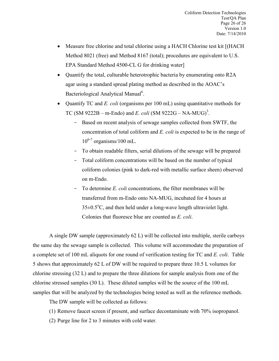- Measure free chlorine and total chlorine using a HACH Chlorine test kit [*(HACH*) Method 8021 (free) and Method 8167 (total); procedures are equivalent to U.S. EPA Standard Method 4500-CL G for drinking water]
- Quantify the total, culturable heterotrophic bacteria by enumerating onto R2A agar using a standard spread plating method as described in the AOAC's Bacteriological Analytical Manual<sup>6</sup>.
- Quantify TC and *E. coli* (organisms per 100 mL) using quantitative methods for TC (SM 9222B – m-Endo) and *E. coli* (SM 9222G – NA-MUG)<sup>3</sup>.
	- Based on recent analysis of sewage samples collected from SWTF, the concentration of total coliform and *E. coli* is expected to be in the range of  $10^{6-7}$  organisms/100 mL.
	- To obtain readable filters, serial dilutions of the sewage will be prepared
	- Total coliform concentrations will be based on the number of typical coliform colonies (pink to dark-red with metallic surface sheen) observed on m-Endo.
	- To determine *E. coli* concentrations, the filter membranes will be transferred from m-Endo onto NA-MUG, incubated for 4 hours at  $35\pm0.5^{\circ}$ C, and then held under a long-wave length ultraviolet light. Colonies that fluoresce blue are counted as *E. coli*.

A single DW sample (approximately 62 L) will be collected into multiple, sterile carboys the same day the sewage sample is collected. This volume will accommodate the preparation of a complete set of 100 mL aliquots for one round of verification testing for TC and *E. coli*. Table 5 shows that approximately 62 L of DW will be required to prepare three 10.5 L volumes for chlorine stressing (32 L) and to prepare the three dilutions for sample analysis from one of the chlorine stressed samples (30 L). These diluted samples will be the source of the 100 mL samples that will be analyzed by the technologies being tested as well as the reference methods.

The DW sample will be collected as follows:

- (1) Remove faucet screen if present, and surface decontaminate with 70% isopropanol.
- (2) Purge line for 2 to 3 minutes with cold water.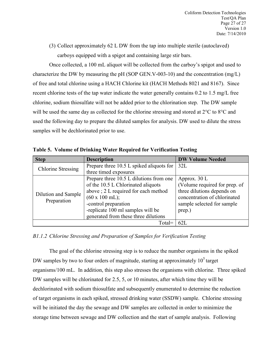(3) Collect approximately 62 L DW from the tap into multiple sterile (autoclaved) carboys equipped with a spigot and containing large stir bars.

Once collected, a 100 mL aliquot will be collected from the carboy's spigot and used to characterize the DW by measuring the pH (SOP GEN.V-003-10) and the concentration (mg/L) of free and total chlorine using a HACH Chlorine kit (HACH Methods 8021 and 8167). Since recent chlorine tests of the tap water indicate the water generally contains 0.2 to 1.5 mg/L free chlorine, sodium thiosulfate will not be added prior to the chlorination step. The DW sample will be used the same day as collected for the chlorine stressing and stored at 2<sup>o</sup>C to 8<sup>o</sup>C and used the following day to prepare the diluted samples for analysis. DW used to dilute the stress samples will be dechlorinated prior to use.

| <b>Step</b>               | <b>Description</b>                       | <b>DW Volume Needed</b>       |
|---------------------------|------------------------------------------|-------------------------------|
| <b>Chlorine Stressing</b> | Prepare three 10.5 L spiked aliquots for | 32L                           |
|                           | three timed exposures                    |                               |
|                           | Prepare three 10.5 L dilutions from one  | Approx. $30 L$                |
|                           | of the 10.5 L Chlorinated aliquots       | (Volume required for prep. of |
| Dilution and Sample       | above; 2 L required for each method      | three dilutions depends on    |
| Preparation               | $(60 \times 100 \text{ mL})$ ;           | concentration of chlorinated  |
|                           | -control preparation                     | sample selected for sample    |
|                           | -replicate 100 ml samples will be        | prep.)                        |
|                           | generated from these three dilutions     |                               |
|                           | Total=                                   | 62L                           |

<span id="page-26-0"></span>**Table 5. Volume of Drinking Water Required for Verification Testing**

*B1.1.2 Chlorine Stressing and Preparation of Samples for Verification Testing*

The goal of the chlorine stressing step is to reduce the number organisms in the spiked DW samples by two to four orders of magnitude, starting at approximately  $10<sup>5</sup>$  target organisms/100 mL. In addition, this step also stresses the organisms with chlorine. Three spiked DW samples will be chlorinated for 2.5, 5, or 10 minutes, after which time they will be dechlorinated with sodium thiosulfate and subsequently enumerated to determine the reduction of target organisms in each spiked, stressed drinking water (SSDW) sample. Chlorine stressing will be initiated the day the sewage and DW samples are collected in order to minimize the storage time between sewage and DW collection and the start of sample analysis. Following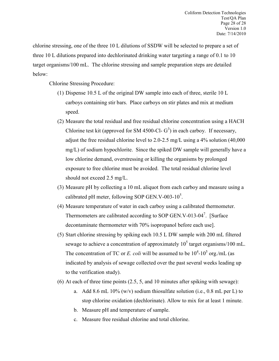chlorine stressing, one of the three 10 L dilutions of SSDW will be selected to prepare a set of three 10 L dilutions prepared into dechlorinated drinking water targeting a range of 0.1 to 10 target organisms/100 mL. The chlorine stressing and sample preparation steps are detailed below:

Chlorine Stressing Procedure:

- (1) Dispense 10.5 L of the original DW sample into each of three, sterile 10 L carboys containing stir bars. Place carboys on stir plates and mix at medium speed.
- (2) Measure the total residual and free residual chlorine concentration using a HACH Chlorine test kit (approved for SM 4500-Cl-  $G<sup>3</sup>$ ) in each carboy. If necessary, adjust the free residual chlorine level to 2.0-2.5 mg/L using a 4% solution (40,000 mg/L) of sodium hypochlorite. Since the spiked DW sample will generally have a low chlorine demand, overstressing or killing the organisms by prolonged exposure to free chlorine must be avoided. The total residual chlorine level should not exceed 2.5 mg/L.
- (3) Measure pH by collecting a 10 mL aliquot from each carboy and measure using a calibrated pH meter, following SOP GEN.V-003-10 $^5$ .
- (4) Measure temperature of water in each carboy using a calibrated thermometer. Thermometers are calibrated according to SOP GEN.V-013-04<sup>7</sup>. [Surface decontaminate thermometer with 70% isopropanol before each use].
- (5) Start chlorine stressing by spiking each 10.5 L DW sample with 200 mL filtered sewage to achieve a concentration of approximately  $10^5$  target organisms/100 mL. The concentration of TC or *E. coli* will be assumed to be  $10^4$ - $10^5$  org./mL (as indicated by analysis of sewage collected over the past several weeks leading up to the verification study).
- (6) At each of three time points (2.5, 5, and 10 minutes after spiking with sewage):
	- a. Add 8.6 mL 10% (w/v) sodium thiosulfate solution (i.e., 0.8 mL per L) to stop chlorine oxidation (dechlorinate). Allow to mix for at least 1 minute.
	- b. Measure pH and temperature of sample.
	- c. Measure free residual chlorine and total chlorine.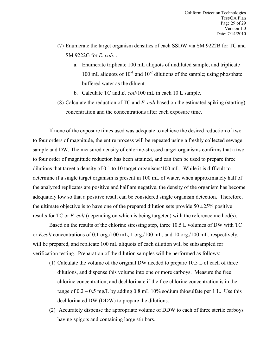- (7) Enumerate the target organism densities of each SSDW via SM 9222B for TC and SM 9222G for *E. coli*. .
	- a. Enumerate triplicate 100 mL aliquots of undiluted sample, and triplicate 100 mL aliquots of  $10^{-1}$  and  $10^{-2}$  dilutions of the sample; using phosphate buffered water as the diluent.
	- b. Calculate TC and *E. coli*/100 mL in each 10 L sample.
- (8) Calculate the reduction of TC and *E. coli* based on the estimated spiking (starting) concentration and the concentrations after each exposure time.

If none of the exposure times used was adequate to achieve the desired reduction of two to four orders of magnitude, the entire process will be repeated using a freshly collected sewage sample and DW. The measured density of chlorine-stressed target organisms confirms that a two to four order of magnitude reduction has been attained, and can then be used to prepare three dilutions that target a density of 0.1 to 10 target organisms/100 mL. While it is difficult to determine if a single target organism is present in 100 mL of water, when approximately half of the analyzed replicates are positive and half are negative, the density of the organism has become adequately low so that a positive result can be considered single organism detection. Therefore, the ultimate objective is to have one of the prepared dilution sets provide  $50 \pm 25\%$  positive results for TC or *E. coli* (depending on which is being targeted) with the reference method(s).

Based on the results of the chlorine stressing step, three 10.5 L volumes of DW with TC or *E.coli* concentrations of 0.1 org./100 mL, 1 org./100 mL, and 10 org./100 mL, respectively, will be prepared, and replicate 100 mL aliquots of each dilution will be subsampled for verification testing. Preparation of the dilution samples will be performed as follows:

- (1) Calculate the volume of the original DW needed to prepare 10.5 L of each of three dilutions, and dispense this volume into one or more carboys. Measure the free chlorine concentration, and dechlorinate if the free chlorine concentration is in the range of  $0.2 - 0.5$  mg/L by adding 0.8 mL 10% sodium thiosulfate per 1 L. Use this dechlorinated DW (DDW) to prepare the dilutions.
- (2) Accurately dispense the appropriate volume of DDW to each of three sterile carboys having spigots and containing large stir bars.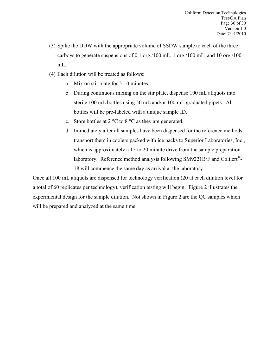- (3) Spike the DDW with the appropriate volume of SSDW sample to each of the three carboys to generate suspensions of 0.1 org./100 mL, 1 org./100 mL, and 10 org./100 mL.
- (4) Each dilution will be treated as follows:
	- a. Mix on stir plate for 5-10 minutes.
	- b. During continuous mixing on the stir plate, dispense 100 mL aliquots into sterile 100 mL bottles using 50 mL and/or 100 mL graduated pipets. All bottles will be pre-labeled with a unique sample ID.
	- c. Store bottles at 2 °C to 8 °C as they are generated.
	- d. Immediately after all samples have been dispensed for the reference methods, transport them in coolers packed with ice packs to Superior Laboratories, Inc., which is approximately a 15 to 20 minute drive from the sample preparation laboratory. Reference method analysis following SM9221B/F and Colilert®- 18 will commence the same day as arrival at the laboratory.

Once all 100 mL aliquots are dispensed for technology verification (20 at each dilution level for a total of 60 replicates per technology), verification testing will begin. Figure 2 illustrates the experimental design for the sample dilution. Not shown in Figure 2 are the QC samples which will be prepared and analyzed at the same time.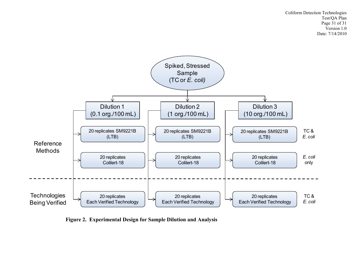

<span id="page-30-0"></span>**Figure 2. Experimental Design for Sample Dilution and Analysis**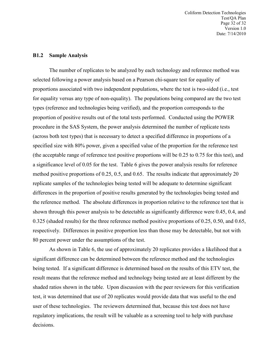Coliform Detection Technologies Test/QA Plan Page 32 of 32 Version 1.0 Date: 7/14/2010

#### **B1.2 Sample Analysis**

The number of replicates to be analyzed by each technology and reference method was selected following a power analysis based on a Pearson chi-square test for equality of proportions associated with two independent populations, where the test is two-sided (i.e., test for equality versus any type of non-equality). The populations being compared are the two test types (reference and technologies being verified), and the proportion corresponds to the proportion of positive results out of the total tests performed. Conducted using the POWER procedure in the SAS System, the power analysis determined the number of replicate tests (across both test types) that is necessary to detect a specified difference in proportions of a specified size with 80% power, given a specified value of the proportion for the reference test (the acceptable range of reference test positive proportions will be 0.25 to 0.75 for this test), and a significance level of 0.05 for the test. Table 6 gives the power analysis results for reference method positive proportions of 0.25, 0.5, and 0.65. The results indicate that approximately 20 replicate samples of the technologies being tested will be adequate to determine significant differences in the proportion of positive results generated by the technologies being tested and the reference method. The absolute differences in proportion relative to the reference test that is shown through this power analysis to be detectable as significantly difference were 0.45, 0.4, and 0.325 (shaded results) for the three reference method positive proportions of 0.25, 0.50, and 0.65, respectively. Differences in positive proportion less than those may be detectable, but not with 80 percent power under the assumptions of the test.

As shown in Table 6, the use of approximately 20 replicates provides a likelihood that a significant difference can be determined between the reference method and the technologies being tested. If a significant difference is determined based on the results of this ETV test, the result means that the reference method and technology being tested are at least different by the shaded ratios shown in the table. Upon discussion with the peer reviewers for this verification test, it was determined that use of 20 replicates would provide data that was useful to the end user of these technologies. The reviewers determined that, because this test does not have regulatory implications, the result will be valuable as a screening tool to help with purchase decisions.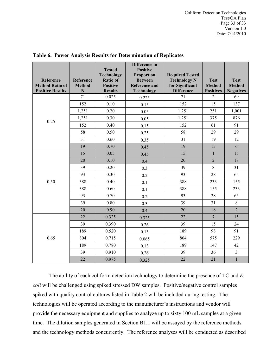Coliform Detection Technologies Test/QA Plan Page 33 of 33 Version 1.0 Date: 7/14/2010

| Reference<br><b>Method Ratio of</b><br><b>Positive Results</b> | Reference<br><b>Method</b><br>$\mathbf N$ | <b>Tested</b><br><b>Technology</b><br><b>Ratio of</b><br><b>Positive</b><br><b>Results</b> | Difference in<br><b>Positive</b><br><b>Proportion</b><br><b>Between</b><br><b>Reference and</b><br><b>Technology</b> | <b>Required Tested</b><br><b>Technology N</b><br>for Significant<br><b>Difference</b> | <b>Test</b><br><b>Method</b><br><b>Positives</b> | <b>Test</b><br><b>Method</b><br><b>Negatives</b> |
|----------------------------------------------------------------|-------------------------------------------|--------------------------------------------------------------------------------------------|----------------------------------------------------------------------------------------------------------------------|---------------------------------------------------------------------------------------|--------------------------------------------------|--------------------------------------------------|
|                                                                | 71                                        | 0.025                                                                                      | 0.225                                                                                                                | 71                                                                                    | $\overline{2}$                                   | 69                                               |
|                                                                | 152                                       | 0.10                                                                                       | 0.15                                                                                                                 | 152                                                                                   | 15                                               | 137                                              |
|                                                                | 1,251                                     | 0.20                                                                                       | 0.05                                                                                                                 | 1,251                                                                                 | 251                                              | 1,001                                            |
| 0.25                                                           | 1,251                                     | 0.30                                                                                       | 0.05                                                                                                                 | 1,251                                                                                 | 375                                              | 876                                              |
|                                                                | 152                                       | 0.40                                                                                       | 0.15                                                                                                                 | 152                                                                                   | 61                                               | 91                                               |
|                                                                | 58                                        | 0.50                                                                                       | 0.25                                                                                                                 | 58                                                                                    | 29                                               | 29                                               |
|                                                                | 31                                        | 0.60                                                                                       | 0.35                                                                                                                 | 31                                                                                    | 19                                               | 12                                               |
|                                                                | 19                                        | 0.70                                                                                       | 0.45                                                                                                                 | 19                                                                                    | 13                                               | 6                                                |
|                                                                | 15                                        | 0.05                                                                                       | 0.45                                                                                                                 | 15                                                                                    | $\mathbf{1}$                                     | 15                                               |
|                                                                | 20                                        | 0.10                                                                                       | 0.4                                                                                                                  | 20                                                                                    | $\overline{2}$                                   | 18                                               |
|                                                                | 39                                        | 0.20                                                                                       | 0.3                                                                                                                  | 39                                                                                    | 8                                                | 31                                               |
|                                                                | 93                                        | 0.30                                                                                       | 0.2                                                                                                                  | 93                                                                                    | 28                                               | 65                                               |
| 0.50                                                           | 388                                       | 0.40                                                                                       | 0.1                                                                                                                  | 388                                                                                   | 233                                              | 155                                              |
|                                                                | 388                                       | 0.60                                                                                       | 0.1                                                                                                                  | 388                                                                                   | 155                                              | 233                                              |
|                                                                | 93                                        | 0.70                                                                                       | 0.2                                                                                                                  | 93                                                                                    | 28                                               | 65                                               |
|                                                                | 39                                        | 0.80                                                                                       | 0.3                                                                                                                  | 39                                                                                    | 31                                               | 8                                                |
|                                                                | 20                                        | 0.90                                                                                       | 0.4                                                                                                                  | 20                                                                                    | 18                                               | $\overline{2}$                                   |
|                                                                | 22                                        | 0.325                                                                                      | 0.325                                                                                                                | 22                                                                                    | $\overline{7}$                                   | 15                                               |
|                                                                | 39                                        | 0.390                                                                                      | 0.26                                                                                                                 | 39                                                                                    | 15                                               | 24                                               |
|                                                                | 189                                       | 0.520                                                                                      | 0.13                                                                                                                 | 189                                                                                   | 98                                               | 91                                               |
| 0.65                                                           | 804                                       | 0.715                                                                                      | 0.065                                                                                                                | 804                                                                                   | 575                                              | 229                                              |
|                                                                | 189                                       | 0.780                                                                                      | 0.13                                                                                                                 | 189                                                                                   | 147                                              | 42                                               |
|                                                                | 39                                        | 0.910                                                                                      | 0.26                                                                                                                 | 39                                                                                    | 36                                               | $\overline{\mathbf{3}}$                          |
|                                                                | 22                                        | 0.975                                                                                      | 0.325                                                                                                                | 22                                                                                    | 21                                               | $\,1$                                            |

## <span id="page-32-0"></span>**Table 6. Power Analysis Results for Determination of Replicates**

The ability of each coliform detection technology to determine the presence of TC and *E. coli* will be challenged using spiked stressed DW samples. Positive/negative control samples spiked with quality control cultures listed in Table 2 will be included during testing. The technologies will be operated according to the manufacturer's instructions and vendor will provide the necessary equipment and supplies to analyze up to sixty 100 mL samples at a given time. The dilution samples generated in Section B1.1 will be assayed by the reference methods and the technology methods concurrently. The reference analyses will be conducted as described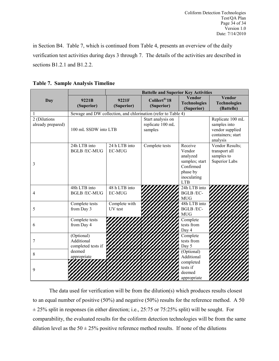in Section B4. Table 7, which is continued from Table 4, presents an overview of the daily verification test activities during days 3 through 7. The details of the activities are described in sections B1.2.1 and B1.2.2.

<span id="page-33-0"></span>**Table 7. Sample Analysis Timeline** 

|                                   |                                                | <b>Battelle and Superior Key Activities</b> |                                                               |                                                                                                       |                                                                                      |  |
|-----------------------------------|------------------------------------------------|---------------------------------------------|---------------------------------------------------------------|-------------------------------------------------------------------------------------------------------|--------------------------------------------------------------------------------------|--|
| Day                               | 9221B<br>(Superior)                            | 9221F<br>(Superior)                         | Colilert <sup>®-18</sup><br>(Superior)                        | <b>Vendor</b><br><b>Technologies</b><br>(Superior)                                                    | <b>Vendor</b><br><b>Technologies</b><br>(Battelle)                                   |  |
| 1                                 |                                                |                                             | Sewage and DW collection, and chlorination (refer to Table 4) |                                                                                                       |                                                                                      |  |
| 2 (Dilutions<br>already prepared) | 100 mL SSDW into LTB                           |                                             | Start analysis on<br>replicate 100 mL<br>samples              |                                                                                                       | Replicate 100 mL<br>samples into<br>vendor supplied<br>containers; start<br>analysis |  |
| 3                                 | 24h LTB into<br><b>BGLB/EC-MUG</b>             | 24 h LTB into<br><b>EC-MUG</b>              | Complete tests                                                | Receive<br>Vendor<br>analyzed<br>samples; start<br>Confirmed<br>phase by<br>inoculating<br><b>LTB</b> | Vendor Results;<br>transport all<br>samples to<br>Superior Labs                      |  |
| 4                                 | 48h LTB into<br><b>BGLB/EC-MUG</b>             | 48 h LTB into<br><b>EC-MUG</b>              |                                                               | 24h LTB into<br><b>BGLB/EC-</b><br><b>MUG</b>                                                         |                                                                                      |  |
| 5                                 | Complete tests<br>from Day 3                   | Complete with<br>UV test                    |                                                               | 48h LTB into<br><b>BGLB/EC-</b><br><b>MUG</b>                                                         |                                                                                      |  |
| 6                                 | Complete tests<br>from Day 4                   |                                             |                                                               | Complete<br>tests from<br>Day 4                                                                       |                                                                                      |  |
| 7                                 | (Optional)<br>Additional<br>completed tests if |                                             |                                                               | Complete<br>tests from<br>Day 5                                                                       |                                                                                      |  |
| 8                                 | deemed<br>appropriate                          |                                             |                                                               | (Optional)<br>Additional                                                                              |                                                                                      |  |
| 9                                 |                                                | <u>INIHINIHIIIII</u>                        |                                                               | completed<br>tests if<br>deemed<br>appropriate                                                        |                                                                                      |  |

The data used for verification will be from the dilution(s) which produces results closest to an equal number of positive (50%) and negative (50%) results for the reference method. A 50  $\pm$  25% split in responses (in either direction; i.e., 25:75 or 75:25% split) will be sought. For comparability, the evaluated results for the coliform detection technologies will be from the same dilution level as the  $50 \pm 25\%$  positive reference method results. If none of the dilutions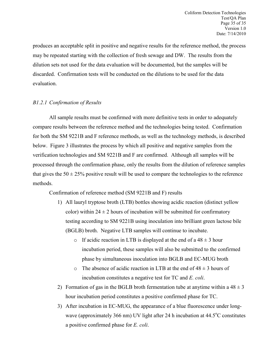produces an acceptable split in positive and negative results for the reference method, the process may be repeated starting with the collection of fresh sewage and DW. The results from the dilution sets not used for the data evaluation will be documented, but the samples will be discarded. Confirmation tests will be conducted on the dilutions to be used for the data evaluation.

## *B1.2.1 Confirmation of Results*

All sample results must be confirmed with more definitive tests in order to adequately compare results between the reference method and the technologies being tested. Confirmation for both the SM 9221B and F reference methods, as well as the technology methods, is described below. Figure 3 illustrates the process by which all positive and negative samples from the verification technologies and SM 9221B and F are confirmed. Although all samples will be processed through the confirmation phase, only the results from the dilution of reference samples that gives the  $50 \pm 25\%$  positive result will be used to compare the technologies to the reference methods.

Confirmation of reference method (SM 9221B and F) results

- 1) All lauryl tryptose broth (LTB) bottles showing acidic reaction (distinct yellow color) within  $24 \pm 2$  hours of incubation will be submitted for confirmatory testing according to SM 9221B using inoculation into brilliant green lactose bile (BGLB) broth. Negative LTB samples will continue to incubate.
	- o If acidic reaction in LTB is displayed at the end of a  $48 \pm 3$  hour incubation period, these samples will also be submitted to the confirmed phase by simultaneous inoculation into BGLB and EC-MUG broth
	- $\circ$  The absence of acidic reaction in LTB at the end of 48  $\pm$  3 hours of incubation constitutes a negative test for TC and *E. coli*.
- 2) Formation of gas in the BGLB broth fermentation tube at anytime within a  $48 \pm 3$ hour incubation period constitutes a positive confirmed phase for TC.
- 3) After incubation in EC-MUG, the appearance of a blue fluorescence under longwave (approximately 366 nm) UV light after 24 h incubation at 44.5°C constitutes a positive confirmed phase for *E. coli*.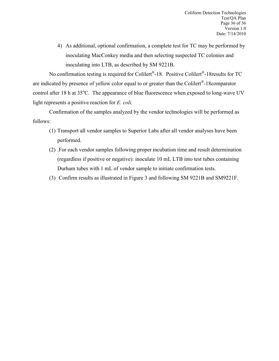4) As additional, optional confirmation, a complete test for TC may be performed by inoculating MacConkey media and then selecting suspected TC colonies and inoculating into LTB, as described by SM 9221B.

No confirmation testing is required for Colilert®-18. Positive Colilert®-18results for TC are indicated by presence of yellow color equal to or greater than the Colilert®-18comparator control after 18 h at 35°C. The appearance of blue fluorescence when exposed to long-wave UV light represents a positive reaction for *E. coli*.

Confirmation of the samples analyzed by the vendor technologies will be performed as follows:

- (1) Transport all vendor samples to Superior Labs after all vendor analyses have been performed.
- (2) .For each vendor samples following proper incubation time and result determination (regardless if positive or negative): inoculate 10 mL LTB into test tubes containing Durham tubes with 1 mL of vendor sample to initiate confirmation tests.
- (3) Confirm results as illustrated in Figure 3 and following SM 9221B and SM9221F.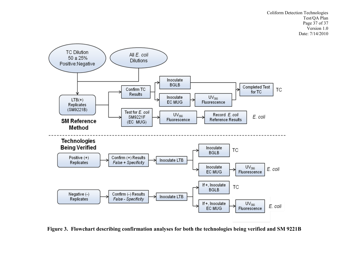Coliform Detection Technologies Test/QA Plan Page 37 of 37 Version 1.0 Date: 7/14/2010



<span id="page-36-0"></span>**Figure 3. Flowchart describing confirmation analyses for both the technologies being verified and SM 9221B**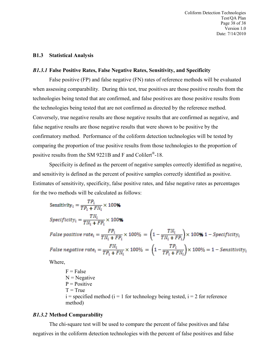Coliform Detection Technologies Test/QA Plan Page 38 of 38 Version 1.0 Date: 7/14/2010

#### **B1.3 Statistical Analysis**

## *B1.3.1* **False Positive Rates, False Negative Rates, Sensitivity, and Specificity**

False positive (FP) and false negative (FN) rates of reference methods will be evaluated when assessing comparability. During this test, true positives are those positive results from the technologies being tested that are confirmed, and false positives are those positive results from the technologies being tested that are not confirmed as directed by the reference method. Conversely, true negative results are those negative results that are confirmed as negative, and false negative results are those negative results that were shown to be positive by the confirmatory method. Performance of the coliform detection technologies will be tested by comparing the proportion of true positive results from those technologies to the proportion of positive results from the SM 9221B and F and Colilert®-18.

Specificity is defined as the percent of negative samples correctly identified as negative, and sensitivity is defined as the percent of positive samples correctly identified as positive. Estimates of sensitivity, specificity, false positive rates, and false negative rates as percentages for the two methods will be calculated as follows:

Sensitivity<sub>i</sub> =  $\frac{TP_i}{TP_i + FN_i} \times 100\%$  $Specificity_i = \frac{TN_i}{TN_i + FP_i} \times 100\%$ False positive rate<sub>i</sub> =  $\frac{FP_i}{TN_i + FP_i}$  × 100% =  $\left(1 - \frac{TN_i}{TN_i + FP_i}\right)$  × 100**%** 1 – Specificity<sub>i</sub> False negative rate<sub>i</sub> =  $\frac{FN_i}{TP_i + FN_i}$  × 100% =  $\left(1 - \frac{TP_i}{TP_i + FN_i}\right)$  × 100% = 1 – Sensitivity<sub>i</sub>

Where,

 $F = False$  $N = Negative$  $P = Positive$  $T = True$  $i =$  specified method ( $i = 1$  for technology being tested,  $i = 2$  for reference method)

#### *B1.3.2* **Method Comparability**

The chi-square test will be used to compare the percent of false positives and false negatives in the coliform detection technologies with the percent of false positives and false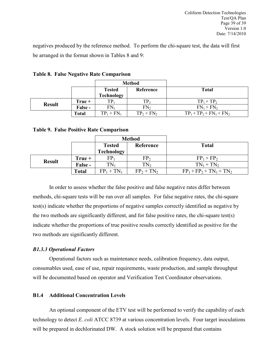negatives produced by the reference method. To perform the chi-square test, the data will first be arranged in the format shown in Tables 8 and 9:

|               |         | <b>Method</b> |                 |                             |
|---------------|---------|---------------|-----------------|-----------------------------|
|               |         | <b>Tested</b> | Reference       | <b>Total</b>                |
|               |         | Technology    |                 |                             |
| <b>Result</b> | True +  | $TP_1$        | TP <sub>2</sub> | $TP_1 + TP_2$               |
|               | False - | $FN_1$        | $FN_{2}$        | $FN_1 + FN_2$               |
|               | Total   | $TP_1 + FN_1$ | $TP_2 + FN_2$   | $TP_1 + TP_2 + FN_1 + FN_2$ |

<span id="page-38-0"></span>**Table 8. False Negative Rate Comparison** 

## <span id="page-38-1"></span>**Table 9. False Positive Rate Comparison**

|               |              | <b>Method</b>              |                 |                             |
|---------------|--------------|----------------------------|-----------------|-----------------------------|
|               |              | Reference<br><b>Tested</b> |                 | <b>Total</b>                |
|               |              | <b>Technology</b>          |                 |                             |
| <b>Result</b> | $True +$     | ${\rm FP}_1$               | FP <sub>2</sub> | $FP_1 + FP_2$               |
|               | False -      | $TN_1$                     | TN <sub>2</sub> | $TN_1 + TN_2$               |
|               | <b>Total</b> | $FP_1 + TN_1$              | $FP_2 + TN_2$   | $FP_1 + FP_2 + TN_1 + TN_2$ |

In order to assess whether the false positive and false negative rates differ between methods, chi-square tests will be run over all samples. For false negative rates, the chi-square test(s) indicate whether the proportions of negative samples correctly identified as negative by the two methods are significantly different, and for false positive rates, the chi-square test(s) indicate whether the proportions of true positive results correctly identified as positive for the two methods are significantly different.

## *B1.3.3 Operational Factors*

Operational factors such as maintenance needs, calibration frequency, data output, consumables used, ease of use, repair requirements, waste production, and sample throughput will be documented based on operator and Verification Test Coordinator observations.

## **B1.4 Additional Concentration Levels**

An optional component of the ETV test will be performed to verify the capability of each technology to detect *E. coli* ATCC 8739 at various concentration levels. Four target inoculations will be prepared in dechlorinated DW. A stock solution will be prepared that contains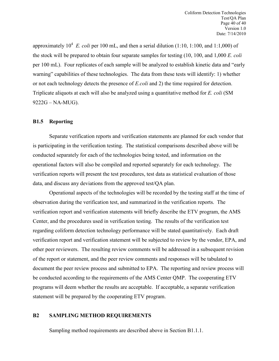approximately  $10^4$  E. *coli* per 100 mL, and then a serial dilution (1:10, 1:100, and 1:1,000) of the stock will be prepared to obtain four separate samples for testing (10, 100, and 1,000 *E. coli* per 100 mL). Four replicates of each sample will be analyzed to establish kinetic data and "early warning" capabilities of these technologies. The data from these tests will identify: 1) whether or not each technology detects the presence of *E.coli* and 2) the time required for detection. Triplicate aliquots at each will also be analyzed using a quantitative method for *E. coli* (SM 9222G – NA-MUG).

## **B1.5 Reporting**

Separate verification reports and verification statements are planned for each vendor that is participating in the verification testing. The statistical comparisons described above will be conducted separately for each of the technologies being tested, and information on the operational factors will also be compiled and reported separately for each technology. The verification reports will present the test procedures, test data as statistical evaluation of those data, and discuss any deviations from the approved test/QA plan.

Operational aspects of the technologies will be recorded by the testing staff at the time of observation during the verification test, and summarized in the verification reports. The verification report and verification statements will briefly describe the ETV program, the AMS Center, and the procedures used in verification testing. The results of the verification test regarding coliform detection technology performance will be stated quantitatively. Each draft verification report and verification statement will be subjected to review by the vendor, EPA, and other peer reviewers. The resulting review comments will be addressed in a subsequent revision of the report or statement, and the peer review comments and responses will be tabulated to document the peer review process and submitted to EPA. The reporting and review process will be conducted according to the requirements of the AMS Center QMP. The cooperating ETV programs will deem whether the results are acceptable. If acceptable, a separate verification statement will be prepared by the cooperating ETV program.

#### <span id="page-39-0"></span>**B2 SAMPLING METHOD REQUIREMENTS**

Sampling method requirements are described above in Section B1.1.1.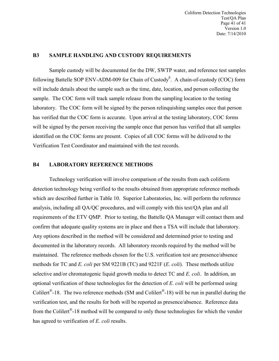## <span id="page-40-0"></span>**B3 SAMPLE HANDLING AND CUSTODY REQUIREMENTS**

Sample custody will be documented for the DW, SWTP water, and reference test samples following Battelle SOP ENV-ADM-009 for Chain of Custody $8$ . A chain-of-custody (COC) form will include details about the sample such as the time, date, location, and person collecting the sample. The COC form will track sample release from the sampling location to the testing laboratory. The COC form will be signed by the person relinquishing samples once that person has verified that the COC form is accurate. Upon arrival at the testing laboratory, COC forms will be signed by the person receiving the sample once that person has verified that all samples identified on the COC forms are present. Copies of all COC forms will be delivered to the Verification Test Coordinator and maintained with the test records.

#### <span id="page-40-1"></span>**B4 LABORATORY REFERENCE METHODS**

Technology verification will involve comparison of the results from each coliform detection technology being verified to the results obtained from appropriate reference methods which are described further in Table 10. Superior Laboratories, Inc. will perform the reference analysis, including all QA/QC procedures, and will comply with this test/QA plan and all requirements of the ETV QMP. Prior to testing, the Battelle QA Manager will contact them and confirm that adequate quality systems are in place and then a TSA will include that laboratory. Any options described in the method will be considered and determined prior to testing and documented in the laboratory records. All laboratory records required by the method will be maintained. The reference methods chosen for the U.S. verification test are presence/absence methods for TC and *E. coli* per SM 9221B (TC) and 9221F (*E. coli*). These methods utilize selective and/or chromatogenic liquid growth media to detect TC and *E. coli*. In addition, an optional verification of these technologies for the detection of *E. coli* will be performed using Colilert<sup>®</sup>-18. The two reference methods (SM and Colilert<sup>®</sup>-18) will be run in parallel during the verification test, and the results for both will be reported as presence/absence. Reference data from the Colilert®-18 method will be compared to only those technologies for which the vendor has agreed to verification of *E. coli* results.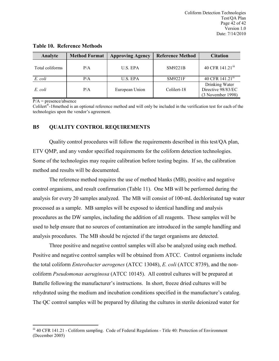| Analyte         | <b>Method Format</b> | <b>Approving Agency</b> | <b>Reference Method</b> | <b>Citation</b>                                           |
|-----------------|----------------------|-------------------------|-------------------------|-----------------------------------------------------------|
| Total coliforms | P/A                  | U.S. EPA                | SM9221B                 | 40 CFR 141.21 <sup>iii</sup>                              |
| E. coli         | P/A                  | U.S. EPA                | SM9221F                 | 40 CFR 141.21 <sup>iv</sup>                               |
| E. coli         | P/A                  | European Union          | Colilert-18             | Drinking Water<br>Directive 98/83/EC<br>(3 November 1998) |

#### <span id="page-41-1"></span>**Table 10. Reference Methods**

 $P/A$  = presence/absence

 $\overline{a}$ 

Colilert<sup>®</sup>-18 method is an optional reference method and will only be included in the verification test for each of the technologies upon the vendor's agreement.

#### <span id="page-41-0"></span>**B5 QUALITY CONTROL REQUIREMENTS**

Quality control procedures will follow the requirements described in this test/QA plan, ETV QMP, and any vendor specified requirements for the coliform detection technologies. Some of the technologies may require calibration before testing begins. If so, the calibration method and results will be documented.

The reference method requires the use of method blanks (MB), positive and negative control organisms, and result confirmation (Table 11). One MB will be performed during the analysis for every 20 samples analyzed. The MB will consist of 100-mL dechlorinated tap water processed as a sample. MB samples will be exposed to identical handling and analysis procedures as the DW samples, including the addition of all reagents. These samples will be used to help ensure that no sources of contamination are introduced in the sample handling and analysis procedures. The MB should be rejected if the target organisms are detected.

Three positive and negative control samples will also be analyzed using each method. Positive and negative control samples will be obtained from ATCC. Control organisms include the total coliform *Enterobacter aerogenes* (ATCC 13048), *E. coli* (ATCC 8739), and the noncoliform *Pseudomonas aeruginosa* (ATCC 10145). All control cultures will be prepared at Battelle following the manufacturer's instructions. In short, freeze dried cultures will be rehydrated using the medium and incubation conditions specified in the manufacture's catalog. The QC control samples will be prepared by diluting the cultures in sterile deionized water for

<span id="page-41-2"></span>iii 40 CFR 141.21 - Coliform sampling. Code of Federal Regulations - Title 40: Protection of Environment (December 2005)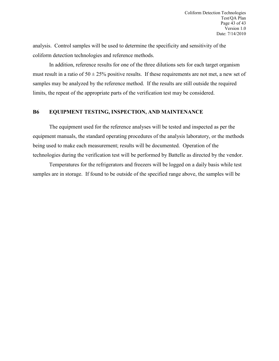analysis. Control samples will be used to determine the specificity and sensitivity of the coliform detection technologies and reference methods.

In addition, reference results for one of the three dilutions sets for each target organism must result in a ratio of  $50 \pm 25\%$  positive results. If these requirements are not met, a new set of samples may be analyzed by the reference method. If the results are still outside the required limits, the repeat of the appropriate parts of the verification test may be considered.

## <span id="page-42-0"></span>**B6 EQUIPMENT TESTING, INSPECTION, AND MAINTENANCE**

The equipment used for the reference analyses will be tested and inspected as per the equipment manuals, the standard operating procedures of the analysis laboratory, or the methods being used to make each measurement; results will be documented. Operation of the technologies during the verification test will be performed by Battelle as directed by the vendor.

Temperatures for the refrigerators and freezers will be logged on a daily basis while test samples are in storage. If found to be outside of the specified range above, the samples will be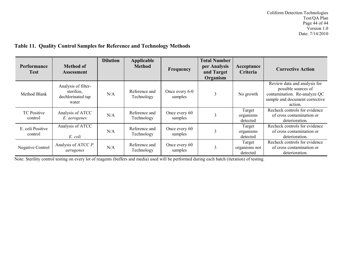## **Table 11. Quality Control Samples for Reference and Technology Methods**

| <b>Performance</b><br><b>Test</b> | <b>Method of</b><br><b>Assessment</b>                           | <b>Dilution</b> | Applicable<br><b>Method</b> | Frequency                 | <b>Total Number</b><br>per Analysis<br>and Target<br>Organism | Acceptance<br>Criteria              | <b>Corrective Action</b>                                                                                                         |
|-----------------------------------|-----------------------------------------------------------------|-----------------|-----------------------------|---------------------------|---------------------------------------------------------------|-------------------------------------|----------------------------------------------------------------------------------------------------------------------------------|
| Method Blank                      | Analysis of filter-<br>sterilize,<br>dechlorinated tap<br>water | N/A             | Reference and<br>Technology | Once every 6-0<br>samples | 3                                                             | No growth                           | Review data and analysis for<br>possible sources of<br>contamination. Re-analyze QC<br>sample and document corrective<br>action. |
| <b>TC</b> Positive<br>control     | Analysis of ATCC<br>E. aerogenes                                | N/A             | Reference and<br>Technology | Once every 60<br>samples  |                                                               | Target<br>organisms<br>detected     | Recheck controls for evidence<br>of cross contamination or<br>deterioration.                                                     |
| E. coli Positive<br>control       | Analysis of ATCC<br>E. coli                                     | N/A             | Reference and<br>Technology | Once every 60<br>samples  |                                                               | Target<br>organisms<br>detected     | Recheck controls for evidence<br>of cross contamination or<br>deterioration.                                                     |
| <b>Negative Control</b>           | Analysis of ATCC P.<br>aerugenes                                | N/A             | Reference and<br>Technology | Once every 60<br>samples  |                                                               | Target<br>organisms not<br>detected | Recheck controls for evidence<br>of cross contamination or<br>deterioration.                                                     |

<span id="page-43-0"></span>Note: Sterility control testing on every lot of reagents (buffers and media) used will be performed during each batch (iteration) of testing.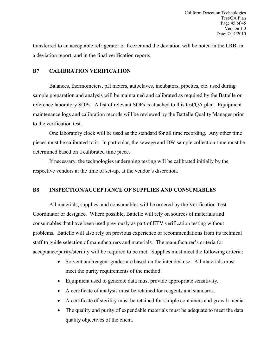transferred to an acceptable refrigerator or freezer and the deviation will be noted in the LRB, in a deviation report, and in the final verification reports.

## <span id="page-44-0"></span>**B7 CALIBRATION VERIFICATION**

Balances, thermometers, pH meters, autoclaves, incubators, pipettes, etc. used during sample preparation and analysis will be maintained and calibrated as required by the Battelle or reference laboratory SOPs. A list of relevant SOPs is attached to this test/QA plan. Equipment maintenance logs and calibration records will be reviewed by the Battelle Quality Manager prior to the verification test.

One laboratory clock will be used as the standard for all time recording. Any other time pieces must be calibrated to it. In particular, the sewage and DW sample collection time must be determined based on a calibrated time piece.

If necessary, the technologies undergoing testing will be calibrated initially by the respective vendors at the time of set-up, at the vendor's discretion.

## <span id="page-44-1"></span>**B8 INSPECTION/ACCEPTANCE OF SUPPLIES AND CONSUMABLES**

All materials, supplies, and consumables will be ordered by the Verification Test Coordinator or designee. Where possible, Battelle will rely on sources of materials and consumables that have been used previously as part of ETV verification testing without problems. Battelle will also rely on previous experience or recommendations from its technical staff to guide selection of manufacturers and materials. The manufacturer's criteria for acceptance/purity/sterility will be required to be met. Supplies must meet the following criteria:

- Solvent and reagent grades are based on the intended use. All materials must meet the purity requirements of the method.
- Equipment used to generate data must provide appropriate sensitivity.
- A certificate of analysis must be retained for reagents and standards.
- A certificate of sterility must be retained for sample containers and growth media.
- The quality and purity of expendable materials must be adequate to meet the data quality objectives of the client.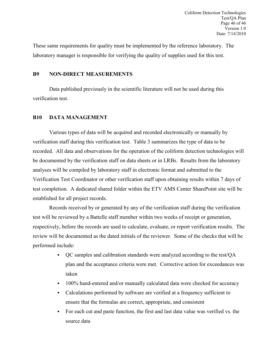These same requirements for quality must be implemented by the reference laboratory. The laboratory manager is responsible for verifying the quality of supplies used for this test.

## <span id="page-45-0"></span>**B9 NON-DIRECT MEASUREMENTS**

Data published previously in the scientific literature will not be used during this verification test.

## <span id="page-45-1"></span>**B10 DATA MANAGEMENT**

Various types of data will be acquired and recorded electronically or manually by verification staff during this verification test. Table 3 summarizes the type of data to be recorded. All data and observations for the operation of the coliform detection technologies will be documented by the verification staff on data sheets or in LRBs. Results from the laboratory analyses will be compiled by laboratory staff in electronic format and submitted to the Verification Test Coordinator or other verification staff upon obtaining results within 7 days of test completion. A dedicated shared folder within the ETV AMS Center SharePoint site will be established for all project records.

Records received by or generated by any of the verification staff during the verification test will be reviewed by a Battelle staff member within two weeks of receipt or generation, respectively, before the records are used to calculate, evaluate, or report verification results. The review will be documented as the dated initials of the reviewer. Some of the checks that will be performed include:

- QC samples and calibration standards were analyzed according to the test/QA plan and the acceptance criteria were met. Corrective action for exceedances was taken
- 100% hand-entered and/or manually calculated data were checked for accuracy
- Calculations performed by software are verified at a frequency sufficient to ensure that the formulas are correct, appropriate, and consistent
- For each cut and paste function, the first and last data value was verified vs. the source data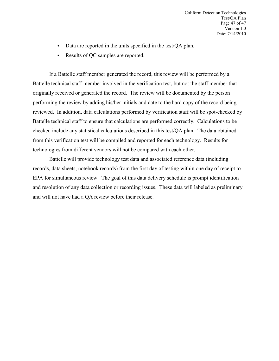- Data are reported in the units specified in the test/QA plan.
- Results of QC samples are reported.

If a Battelle staff member generated the record, this review will be performed by a Battelle technical staff member involved in the verification test, but not the staff member that originally received or generated the record. The review will be documented by the person performing the review by adding his/her initials and date to the hard copy of the record being reviewed. In addition, data calculations performed by verification staff will be spot-checked by Battelle technical staff to ensure that calculations are performed correctly. Calculations to be checked include any statistical calculations described in this test/QA plan. The data obtained from this verification test will be compiled and reported for each technology. Results for technologies from different vendors will not be compared with each other.

Battelle will provide technology test data and associated reference data (including records, data sheets, notebook records) from the first day of testing within one day of receipt to EPA for simultaneous review. The goal of this data delivery schedule is prompt identification and resolution of any data collection or recording issues. These data will labeled as preliminary and will not have had a QA review before their release.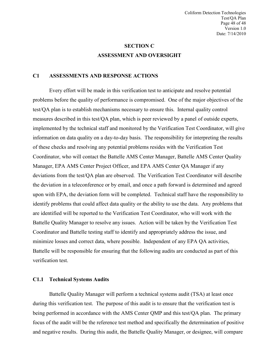## **SECTION C ASSESSMENT AND OVERSIGHT**

## <span id="page-47-1"></span><span id="page-47-0"></span>**C1 ASSESSMENTS AND RESPONSE ACTIONS**

Every effort will be made in this verification test to anticipate and resolve potential problems before the quality of performance is compromised. One of the major objectives of the test/QA plan is to establish mechanisms necessary to ensure this. Internal quality control measures described in this test/QA plan, which is peer reviewed by a panel of outside experts, implemented by the technical staff and monitored by the Verification Test Coordinator, will give information on data quality on a day-to-day basis. The responsibility for interpreting the results of these checks and resolving any potential problems resides with the Verification Test Coordinator, who will contact the Battelle AMS Center Manager, Battelle AMS Center Quality Manager, EPA AMS Center Project Officer, and EPA AMS Center QA Manager if any deviations from the test/QA plan are observed. The Verification Test Coordinator will describe the deviation in a teleconference or by email, and once a path forward is determined and agreed upon with EPA, the deviation form will be completed. Technical staff have the responsibility to identify problems that could affect data quality or the ability to use the data. Any problems that are identified will be reported to the Verification Test Coordinator, who will work with the Battelle Quality Manager to resolve any issues. Action will be taken by the Verification Test Coordinator and Battelle testing staff to identify and appropriately address the issue, and minimize losses and correct data, where possible. Independent of any EPA QA activities, Battelle will be responsible for ensuring that the following audits are conducted as part of this verification test.

#### **C1.1 Technical Systems Audits**

Battelle Quality Manager will perform a technical systems audit (TSA) at least once during this verification test. The purpose of this audit is to ensure that the verification test is being performed in accordance with the AMS Center QMP and this test/QA plan. The primary focus of the audit will be the reference test method and specifically the determination of positive and negative results. During this audit, the Battelle Quality Manager, or designee, will compare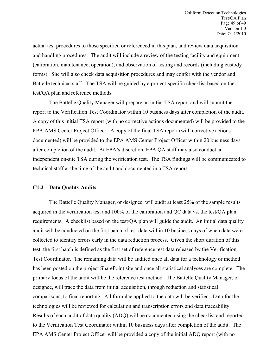actual test procedures to those specified or referenced in this plan, and review data acquisition and handling procedures. The audit will include a review of the testing facility and equipment (calibration, maintenance, operation), and observation of testing and records (including custody forms). She will also check data acquisition procedures and may confer with the vendor and Battelle technical staff. The TSA will be guided by a project-specific checklist based on the test/QA plan and reference methods.

The Battelle Quality Manager will prepare an initial TSA report and will submit the report to the Verification Test Coordinator within 10 business days after completion of the audit. A copy of this initial TSA report (with no corrective actions documented) will be provided to the EPA AMS Center Project Officer. A copy of the final TSA report (with corrective actions documented) will be provided to the EPA AMS Center Project Officer within 20 business days after completion of the audit. At EPA's discretion, EPA QA staff may also conduct an independent on-site TSA during the verification test. The TSA findings will be communicated to technical staff at the time of the audit and documented in a TSA report.

#### **C1.2 Data Quality Audits**

The Battelle Quality Manager, or designee, will audit at least 25% of the sample results acquired in the verification test and 100% of the calibration and QC data vs. the test/QA plan requirements. A checklist based on the test/QA plan will guide the audit. An initial data quality audit will be conducted on the first batch of test data within 10 business days of when data were collected to identify errors early in the data reduction process. Given the short duration of this test, the first batch is defined as the first set of reference test data released by the Verification Test Coordinator. The remaining data will be audited once all data for a technology or method has been posted on the project SharePoint site and once all statistical analyses are complete. The primary focus of the audit will be the reference test method. The Battelle Quality Manager, or designee, will trace the data from initial acquisition, through reduction and statistical comparisons, to final reporting. All formulae applied to the data will be verified. Data for the technologies will be reviewed for calculation and transcription errors and data traceability. Results of each audit of data quality (ADQ) will be documented using the checklist and reported to the Verification Test Coordinator within 10 business days after completion of the audit. The EPA AMS Center Project Officer will be provided a copy of the initial ADQ report (with no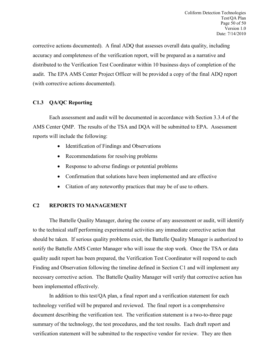corrective actions documented). A final ADQ that assesses overall data quality, including accuracy and completeness of the verification report, will be prepared as a narrative and distributed to the Verification Test Coordinator within 10 business days of completion of the audit. The EPA AMS Center Project Officer will be provided a copy of the final ADQ report (with corrective actions documented).

## **C1.3 QA/QC Reporting**

Each assessment and audit will be documented in accordance with Section 3.3.4 of the AMS Center QMP. The results of the TSA and DQA will be submitted to EPA. Assessment reports will include the following:

- Identification of Findings and Observations
- Recommendations for resolving problems
- Response to adverse findings or potential problems
- Confirmation that solutions have been implemented and are effective
- Citation of any noteworthy practices that may be of use to others.

## <span id="page-49-0"></span>**C2 REPORTS TO MANAGEMENT**

The Battelle Quality Manager, during the course of any assessment or audit, will identify to the technical staff performing experimental activities any immediate corrective action that should be taken. If serious quality problems exist, the Battelle Quality Manager is authorized to notify the Battelle AMS Center Manager who will issue the stop work. Once the TSA or data quality audit report has been prepared, the Verification Test Coordinator will respond to each Finding and Observation following the timeline defined in Section C1 and will implement any necessary corrective action. The Battelle Quality Manager will verify that corrective action has been implemented effectively.

In addition to this test/QA plan, a final report and a verification statement for each technology verified will be prepared and reviewed. The final report is a comprehensive document describing the verification test. The verification statement is a two-to-three page summary of the technology, the test procedures, and the test results. Each draft report and verification statement will be submitted to the respective vendor for review. They are then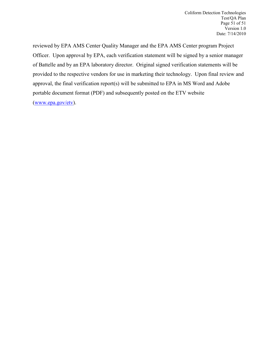reviewed by EPA AMS Center Quality Manager and the EPA AMS Center program Project Officer. Upon approval by EPA, each verification statement will be signed by a senior manager of Battelle and by an EPA laboratory director. Original signed verification statements will be provided to the respective vendors for use in marketing their technology. Upon final review and approval, the final verification report(s) will be submitted to EPA in MS Word and Adobe portable document format (PDF) and subsequently posted on the ETV website (www.epa.gov/etv).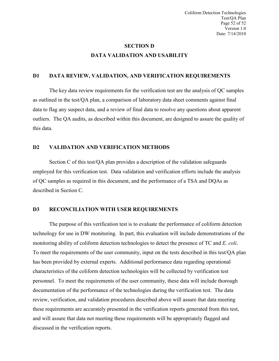Coliform Detection Technologies Test/QA Plan Page 52 of 52 Version 1.0 Date: 7/14/2010

## **SECTION D DATA VALIDATION AND USABILITY**

## <span id="page-51-1"></span><span id="page-51-0"></span>**D1 DATA REVIEW, VALIDATION, AND VERIFICATION REQUIREMENTS**

The key data review requirements for the verification test are the analysis of QC samples as outlined in the test/QA plan, a comparison of laboratory data sheet comments against final data to flag any suspect data, and a review of final data to resolve any questions about apparent outliers. The QA audits, as described within this document, are designed to assure the quality of this data.

#### <span id="page-51-2"></span>**D2 VALIDATION AND VERIFICATION METHODS**

Section C of this test/QA plan provides a description of the validation safeguards employed for this verification test. Data validation and verification efforts include the analysis of QC samples as required in this document, and the performance of a TSA and DQAs as described in Section C.

## <span id="page-51-3"></span>**D3 RECONCILIATION WITH USER REQUIREMENTS**

The purpose of this verification test is to evaluate the performance of coliform detection technology for use in DW monitoring. In part, this evaluation will include demonstrations of the monitoring ability of coliform detection technologies to detect the presence of TC and *E. coli*. To meet the requirements of the user community, input on the tests described in this test/QA plan has been provided by external experts. Additional performance data regarding operational characteristics of the coliform detection technologies will be collected by verification test personnel. To meet the requirements of the user community, these data will include thorough documentation of the performance of the technologies during the verification test. The data review, verification, and validation procedures described above will assure that data meeting these requirements are accurately presented in the verification reports generated from this test, and will assure that data not meeting these requirements will be appropriately flagged and discussed in the verification reports.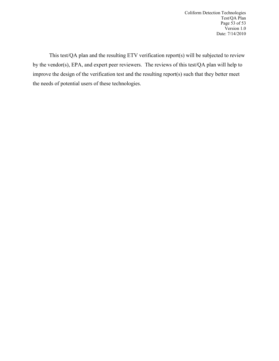Coliform Detection Technologies Test/QA Plan Page 53 of 53 Version 1.0 Date: 7/14/2010

This test/QA plan and the resulting ETV verification report(s) will be subjected to review by the vendor(s), EPA, and expert peer reviewers. The reviews of this test/QA plan will help to improve the design of the verification test and the resulting report(s) such that they better meet the needs of potential users of these technologies.